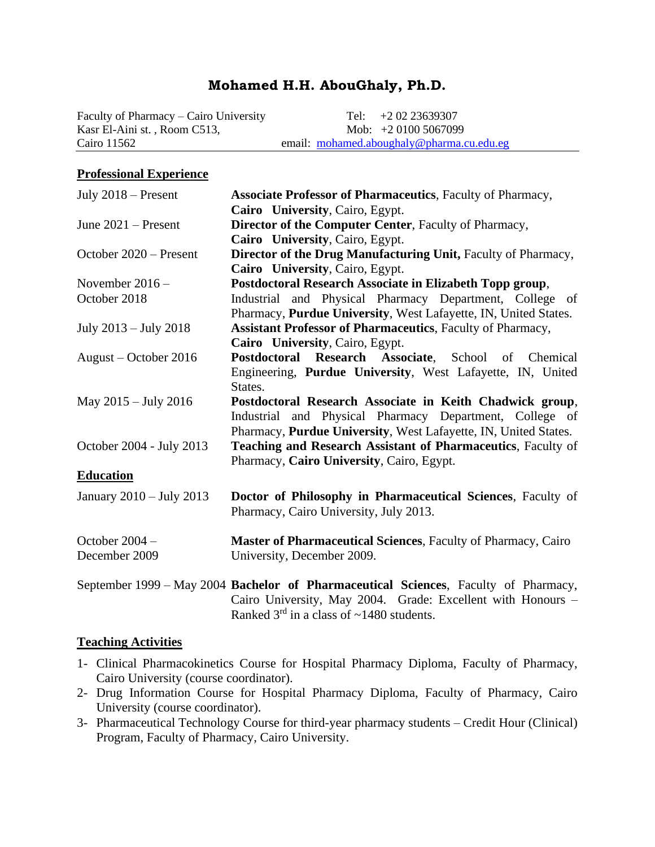# **Mohamed H.H. AbouGhaly, Ph.D.**

Faculty of Pharmacy – Cairo University Tel:  $+2.02$  23639307 Kasr El-Aini st., Room C513, Mob: +2 0100 5067099 Cairo 11562 email: [mohamed.aboughaly@pharma.cu.edu.eg](mailto:mohamed.aboughaly@pharma.cu.edu.eg)

#### **Professional Experience**

| July $2018$ – Present    | <b>Associate Professor of Pharmaceutics</b> , Faculty of Pharmacy,                                                                                                                                     |
|--------------------------|--------------------------------------------------------------------------------------------------------------------------------------------------------------------------------------------------------|
|                          | Cairo University, Cairo, Egypt.                                                                                                                                                                        |
| June $2021$ – Present    | Director of the Computer Center, Faculty of Pharmacy,                                                                                                                                                  |
|                          | Cairo University, Cairo, Egypt.                                                                                                                                                                        |
| October 2020 – Present   | Director of the Drug Manufacturing Unit, Faculty of Pharmacy,                                                                                                                                          |
|                          | Cairo University, Cairo, Egypt.                                                                                                                                                                        |
| November $2016 -$        | Postdoctoral Research Associate in Elizabeth Topp group,                                                                                                                                               |
| October 2018             | Industrial and Physical Pharmacy Department, College of                                                                                                                                                |
|                          | Pharmacy, Purdue University, West Lafayette, IN, United States.                                                                                                                                        |
| July 2013 – July 2018    | Assistant Professor of Pharmaceutics, Faculty of Pharmacy,                                                                                                                                             |
|                          | Cairo University, Cairo, Egypt.                                                                                                                                                                        |
| August – October 2016    | Postdoctoral Research Associate, School of Chemical                                                                                                                                                    |
|                          | Engineering, Purdue University, West Lafayette, IN, United                                                                                                                                             |
|                          | States.                                                                                                                                                                                                |
| May 2015 – July 2016     | Postdoctoral Research Associate in Keith Chadwick group,                                                                                                                                               |
|                          | Industrial and Physical Pharmacy Department, College of                                                                                                                                                |
|                          | Pharmacy, Purdue University, West Lafayette, IN, United States.                                                                                                                                        |
| October 2004 - July 2013 | Teaching and Research Assistant of Pharmaceutics, Faculty of                                                                                                                                           |
|                          | Pharmacy, Cairo University, Cairo, Egypt.                                                                                                                                                              |
| <b>Education</b>         |                                                                                                                                                                                                        |
| January 2010 - July 2013 | Doctor of Philosophy in Pharmaceutical Sciences, Faculty of                                                                                                                                            |
|                          | Pharmacy, Cairo University, July 2013.                                                                                                                                                                 |
| October 2004 -           | Master of Pharmaceutical Sciences, Faculty of Pharmacy, Cairo                                                                                                                                          |
| December 2009            | University, December 2009.                                                                                                                                                                             |
|                          | September 1999 – May 2004 Bachelor of Pharmaceutical Sciences, Faculty of Pharmacy,<br>Cairo University, May 2004. Grade: Excellent with Honours -<br>Ranked $3rd$ in a class of $\sim$ 1480 students. |

#### **Teaching Activities**

- 1- Clinical Pharmacokinetics Course for Hospital Pharmacy Diploma, Faculty of Pharmacy, Cairo University (course coordinator).
- 2- Drug Information Course for Hospital Pharmacy Diploma, Faculty of Pharmacy, Cairo University (course coordinator).
- 3- Pharmaceutical Technology Course for third-year pharmacy students Credit Hour (Clinical) Program, Faculty of Pharmacy, Cairo University.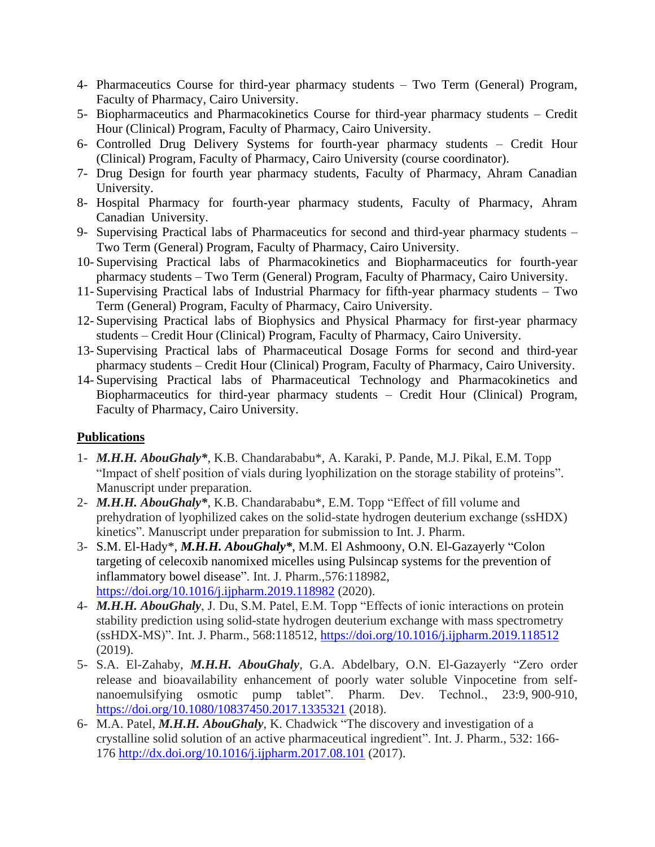- 4- Pharmaceutics Course for third-year pharmacy students Two Term (General) Program, Faculty of Pharmacy, Cairo University.
- 5- Biopharmaceutics and Pharmacokinetics Course for third-year pharmacy students Credit Hour (Clinical) Program, Faculty of Pharmacy, Cairo University.
- 6- Controlled Drug Delivery Systems for fourth-year pharmacy students Credit Hour (Clinical) Program, Faculty of Pharmacy, Cairo University (course coordinator).
- 7- Drug Design for fourth year pharmacy students, Faculty of Pharmacy, Ahram Canadian University.
- 8- Hospital Pharmacy for fourth-year pharmacy students, Faculty of Pharmacy, Ahram Canadian University.
- 9- Supervising Practical labs of Pharmaceutics for second and third-year pharmacy students Two Term (General) Program, Faculty of Pharmacy, Cairo University.
- 10- Supervising Practical labs of Pharmacokinetics and Biopharmaceutics for fourth-year pharmacy students – Two Term (General) Program, Faculty of Pharmacy, Cairo University.
- 11- Supervising Practical labs of Industrial Pharmacy for fifth-year pharmacy students Two Term (General) Program, Faculty of Pharmacy, Cairo University.
- 12- Supervising Practical labs of Biophysics and Physical Pharmacy for first-year pharmacy students – Credit Hour (Clinical) Program, Faculty of Pharmacy, Cairo University.
- 13- Supervising Practical labs of Pharmaceutical Dosage Forms for second and third-year pharmacy students – Credit Hour (Clinical) Program, Faculty of Pharmacy, Cairo University.
- 14- Supervising Practical labs of Pharmaceutical Technology and Pharmacokinetics and Biopharmaceutics for third-year pharmacy students – Credit Hour (Clinical) Program, Faculty of Pharmacy, Cairo University.

## **Publications**

- 1- *M.H.H. AbouGhaly\**, K.B. Chandarababu\*, A. Karaki, P. Pande, M.J. Pikal, E.M. Topp "Impact of shelf position of vials during lyophilization on the storage stability of proteins". Manuscript under preparation.
- 2- *M.H.H. AbouGhaly\**, K.B. Chandarababu\*, E.M. Topp "Effect of fill volume and prehydration of lyophilized cakes on the solid-state hydrogen deuterium exchange (ssHDX) kinetics". Manuscript under preparation for submission to Int. J. Pharm.
- 3- S.M. El-Hady\*, *M.H.H. AbouGhaly\**, M.M. El Ashmoony, O.N. El-Gazayerly "Colon targeting of celecoxib nanomixed micelles using Pulsincap systems for the prevention of inflammatory bowel disease". Int. J. Pharm.,576:118982, <https://doi.org/10.1016/j.ijpharm.2019.118982> (2020).
- 4- *M.H.H. AbouGhaly*, J. Du, S.M. Patel, E.M. Topp "Effects of ionic interactions on protein stability prediction using solid-state hydrogen deuterium exchange with mass spectrometry (ssHDX-MS)". Int. J. Pharm., 568:118512, <https://doi.org/10.1016/j.ijpharm.2019.118512> (2019).
- 5- S.A. El-Zahaby, *M.H.H. AbouGhaly*, G.A. Abdelbary, O.N. El-Gazayerly "Zero order release and bioavailability enhancement of poorly water soluble Vinpocetine from selfnanoemulsifying osmotic pump tablet". Pharm. Dev. Technol., 23:9, 900-910, <https://doi.org/10.1080/10837450.2017.1335321> (2018).
- 6- M.A. Patel, *M.H.H. AbouGhaly*, K. Chadwick "The discovery and investigation of a crystalline solid solution of an active pharmaceutical ingredient". Int. J. Pharm., 532: 166- 176<http://dx.doi.org/10.1016/j.ijpharm.2017.08.101> (2017).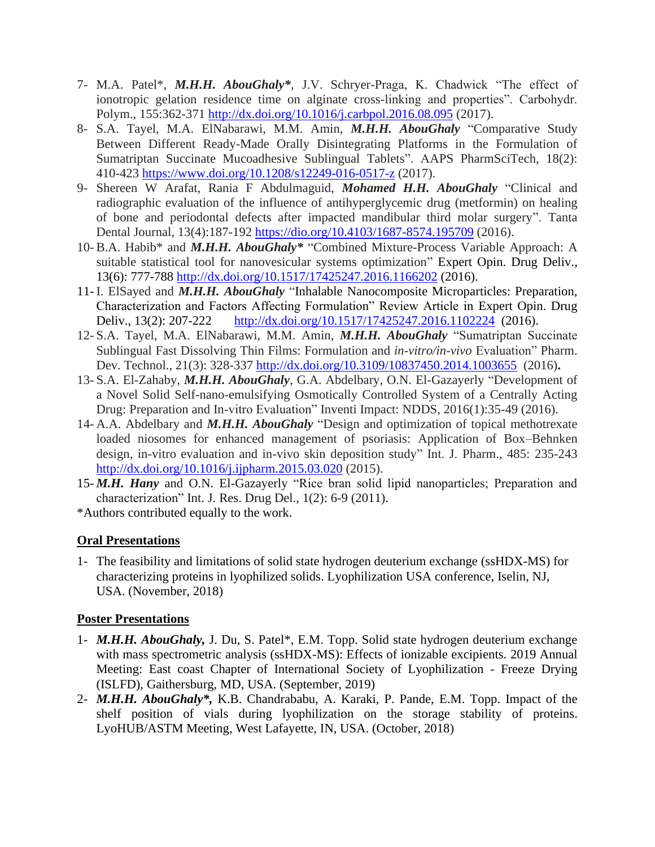- 7- M.A. Patel\*, *M.H.H. AbouGhaly\**, J.V. Schryer-Praga, K. Chadwick "The effect of ionotropic gelation residence time on alginate cross-linking and properties". Carbohydr. Polym., 155:362-371<http://dx.doi.org/10.1016/j.carbpol.2016.08.095> (2017).
- 8- S.A. Tayel, M.A. ElNabarawi, M.M. Amin, *M.H.H. AbouGhaly* "Comparative Study Between Different Ready-Made Orally Disintegrating Platforms in the Formulation of Sumatriptan Succinate Mucoadhesive Sublingual Tablets". AAPS PharmSciTech, 18(2): 410-423<https://www.doi.org/10.1208/s12249-016-0517-z> (2017).
- 9- Shereen W Arafat, Rania F Abdulmaguid, *Mohamed H.H. AbouGhaly* "Clinical and radiographic evaluation of the influence of antihyperglycemic drug (metformin) on healing of bone and periodontal defects after impacted mandibular third molar surgery". Tanta Dental Journal, 13(4):187-192 <https://dio.org/10.4103/1687-8574.195709> (2016).
- 10- B.A. Habib\* and *M.H.H. AbouGhaly\** "Combined Mixture-Process Variable Approach: A suitable statistical tool for nanovesicular systems optimization" Expert Opin. Drug Deliv., 13(6): 777-788<http://dx.doi.org/10.1517/17425247.2016.1166202> (2016).
- 11- I. ElSayed and *M.H.H. AbouGhaly* "Inhalable Nanocomposite Microparticles: Preparation, Characterization and Factors Affecting Formulation" Review Article in Expert Opin. Drug Deliv., 13(2): 207-222 <http://dx.doi.org/10.1517/17425247.2016.1102224>(2016).
- 12- S.A. Tayel, M.A. ElNabarawi, M.M. Amin, *M.H.H. AbouGhaly* "Sumatriptan Succinate Sublingual Fast Dissolving Thin Films: Formulation and *in-vitro/in-vivo* Evaluation" Pharm. Dev. Technol., 21(3): 328-337<http://dx.doi.org/10.3109/10837450.2014.1003655> (2016)**.**
- 13- S.A. El-Zahaby, *M.H.H. AbouGhaly*, G.A. Abdelbary, O.N. El-Gazayerly "Development of a Novel Solid Self-nano-emulsifying Osmotically Controlled System of a Centrally Acting Drug: Preparation and In-vitro Evaluation" Inventi Impact: NDDS, 2016(1):35-49 (2016).
- 14- A.A. Abdelbary and *M.H.H. AbouGhaly* "Design and optimization of topical methotrexate loaded niosomes for enhanced management of psoriasis: Application of Box–Behnken design, in-vitro evaluation and in-vivo skin deposition study" Int. J. Pharm., 485: 235-243 <http://dx.doi.org/10.1016/j.ijpharm.2015.03.020> (2015).
- 15- *M.H. Hany* and O.N. El-Gazayerly "Rice bran solid lipid nanoparticles; Preparation and characterization" Int. J. Res. Drug Del., 1(2): 6-9 (2011).

\*Authors contributed equally to the work.

## **Oral Presentations**

1- The feasibility and limitations of solid state hydrogen deuterium exchange (ssHDX-MS) for characterizing proteins in lyophilized solids. Lyophilization USA conference, Iselin, NJ, USA. (November, 2018)

## **Poster Presentations**

- 1- *M.H.H. AbouGhaly,* J. Du, S. Patel\*, E.M. Topp. Solid state hydrogen deuterium exchange with mass spectrometric analysis (ssHDX-MS): Effects of ionizable excipients. 2019 Annual Meeting: East coast Chapter of International Society of Lyophilization - Freeze Drying (ISLFD), Gaithersburg, MD, USA. (September, 2019)
- 2- *M.H.H. AbouGhaly\*,* K.B. Chandrababu, A. Karaki, P. Pande, E.M. Topp. Impact of the shelf position of vials during lyophilization on the storage stability of proteins. LyoHUB/ASTM Meeting, West Lafayette, IN, USA. (October, 2018)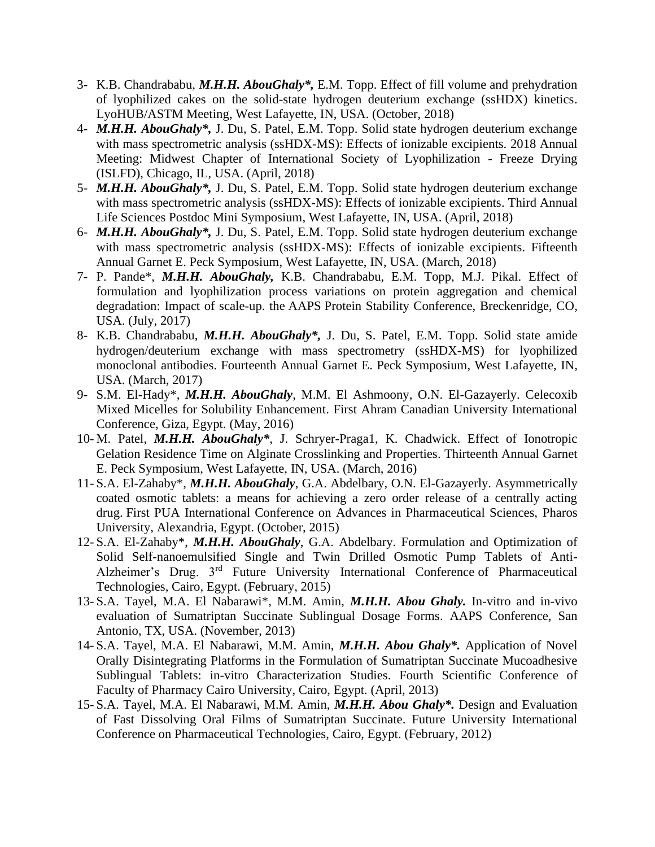- 3- K.B. Chandrababu, *M.H.H. AbouGhaly\*,* E.M. Topp. Effect of fill volume and prehydration of lyophilized cakes on the solid-state hydrogen deuterium exchange (ssHDX) kinetics. LyoHUB/ASTM Meeting, West Lafayette, IN, USA. (October, 2018)
- 4- *M.H.H. AbouGhaly\*,* J. Du, S. Patel, E.M. Topp. Solid state hydrogen deuterium exchange with mass spectrometric analysis (ssHDX-MS): Effects of ionizable excipients. 2018 Annual Meeting: Midwest Chapter of International Society of Lyophilization - Freeze Drying (ISLFD), Chicago, IL, USA. (April, 2018)
- 5- *M.H.H. AbouGhaly\*,* J. Du, S. Patel, E.M. Topp. Solid state hydrogen deuterium exchange with mass spectrometric analysis (ssHDX-MS): Effects of ionizable excipients. Third Annual Life Sciences Postdoc Mini Symposium, West Lafayette, IN, USA. (April, 2018)
- 6- *M.H.H. AbouGhaly\*,* J. Du, S. Patel, E.M. Topp. Solid state hydrogen deuterium exchange with mass spectrometric analysis (ssHDX-MS): Effects of ionizable excipients. Fifteenth Annual Garnet E. Peck Symposium, West Lafayette, IN, USA. (March, 2018)
- 7- P. Pande\*, *M.H.H. AbouGhaly,* K.B. Chandrababu, E.M. Topp, M.J. Pikal. Effect of formulation and lyophilization process variations on protein aggregation and chemical degradation: Impact of scale-up. the AAPS Protein Stability Conference, Breckenridge, CO, USA. (July, 2017)
- 8- K.B. Chandrababu, *M.H.H. AbouGhaly\*,* J. Du, S. Patel, E.M. Topp. Solid state amide hydrogen/deuterium exchange with mass spectrometry (ssHDX-MS) for lyophilized monoclonal antibodies. Fourteenth Annual Garnet E. Peck Symposium, West Lafayette, IN, USA. (March, 2017)
- 9- S.M. El-Hady\*, *M.H.H. AbouGhaly*, M.M. El Ashmoony, O.N. El-Gazayerly. Celecoxib Mixed Micelles for Solubility Enhancement. First Ahram Canadian University International Conference, Giza, Egypt. (May, 2016)
- 10- M. Patel, *M.H.H. AbouGhaly\**, J. Schryer-Praga1, K. Chadwick. Effect of Ionotropic Gelation Residence Time on Alginate Crosslinking and Properties. Thirteenth Annual Garnet E. Peck Symposium, West Lafayette, IN, USA. (March, 2016)
- 11- S.A. El-Zahaby\*, *M.H.H. AbouGhaly*, G.A. Abdelbary, O.N. El-Gazayerly. Asymmetrically coated osmotic tablets: a means for achieving a zero order release of a centrally acting drug. First PUA International Conference on Advances in Pharmaceutical Sciences, Pharos University, Alexandria, Egypt. (October, 2015)
- 12- S.A. El-Zahaby\*, *M.H.H. AbouGhaly*, G.A. Abdelbary. Formulation and Optimization of Solid Self-nanoemulsified Single and Twin Drilled Osmotic Pump Tablets of Anti-Alzheimer's Drug. 3rd Future University International Conference of Pharmaceutical Technologies, Cairo, Egypt. (February, 2015)
- 13- S.A. Tayel, M.A. El Nabarawi\*, M.M. Amin, *M.H.H. Abou Ghaly.* In-vitro and in-vivo evaluation of Sumatriptan Succinate Sublingual Dosage Forms. AAPS Conference, San Antonio, TX, USA. (November, 2013)
- 14- S.A. Tayel, M.A. El Nabarawi, M.M. Amin, *M.H.H. Abou Ghaly\*.* Application of Novel Orally Disintegrating Platforms in the Formulation of Sumatriptan Succinate Mucoadhesive Sublingual Tablets: in-vitro Characterization Studies. Fourth Scientific Conference of Faculty of Pharmacy Cairo University, Cairo, Egypt. (April, 2013)
- 15- S.A. Tayel, M.A. El Nabarawi, M.M. Amin, *M.H.H. Abou Ghaly\*.* Design and Evaluation of Fast Dissolving Oral Films of Sumatriptan Succinate. Future University International Conference on Pharmaceutical Technologies, Cairo, Egypt. (February, 2012)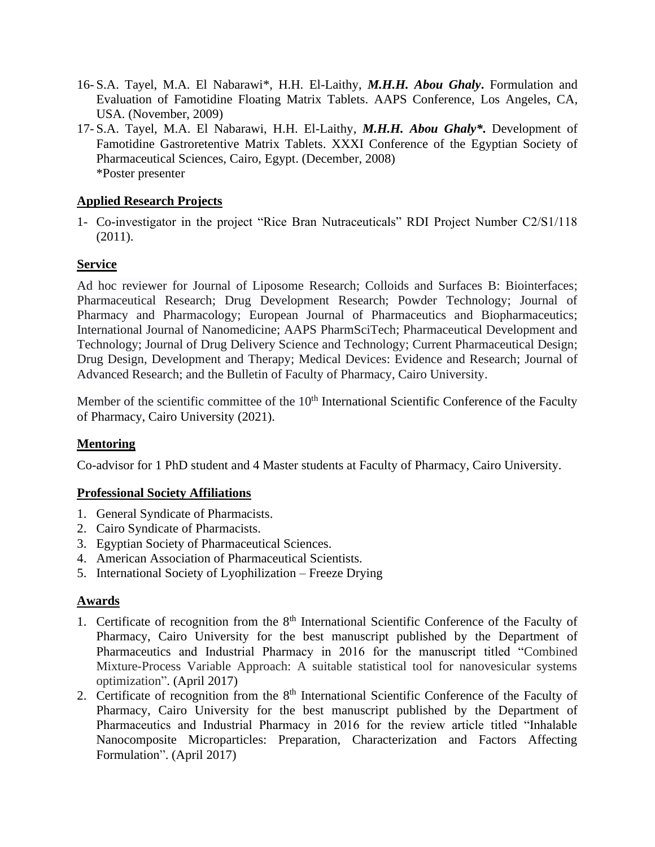- 16- S.A. Tayel, M.A. El Nabarawi\*, H.H. El-Laithy, *M.H.H. Abou Ghaly***.** Formulation and Evaluation of Famotidine Floating Matrix Tablets. AAPS Conference, Los Angeles, CA, USA. (November, 2009)
- 17- S.A. Tayel, M.A. El Nabarawi, H.H. El-Laithy, *M.H.H. Abou Ghaly\****.** Development of Famotidine Gastroretentive Matrix Tablets. XXXI Conference of the Egyptian Society of Pharmaceutical Sciences, Cairo, Egypt. (December, 2008) \*Poster presenter

#### **Applied Research Projects**

1- Co-investigator in the project "Rice Bran Nutraceuticals" RDI Project Number C2/S1/118 (2011).

#### **Service**

Ad hoc reviewer for Journal of Liposome Research; Colloids and Surfaces B: Biointerfaces; Pharmaceutical Research; Drug Development Research; Powder Technology; Journal of Pharmacy and Pharmacology; European Journal of Pharmaceutics and Biopharmaceutics; International Journal of Nanomedicine; AAPS PharmSciTech; Pharmaceutical Development and Technology; Journal of Drug Delivery Science and Technology; Current Pharmaceutical Design; Drug Design, Development and Therapy; Medical Devices: Evidence and Research; Journal of Advanced Research; and the Bulletin of Faculty of Pharmacy, Cairo University.

Member of the scientific committee of the  $10<sup>th</sup>$  International Scientific Conference of the Faculty of Pharmacy, Cairo University (2021).

## **Mentoring**

Co-advisor for 1 PhD student and 4 Master students at Faculty of Pharmacy, Cairo University.

#### **Professional Society Affiliations**

- 1. General Syndicate of Pharmacists.
- 2. Cairo Syndicate of Pharmacists.
- 3. Egyptian Society of Pharmaceutical Sciences.
- 4. American Association of Pharmaceutical Scientists.
- 5. International Society of Lyophilization Freeze Drying

#### **Awards**

- 1. Certificate of recognition from the 8<sup>th</sup> International Scientific Conference of the Faculty of Pharmacy, Cairo University for the best manuscript published by the Department of Pharmaceutics and Industrial Pharmacy in 2016 for the manuscript titled "Combined Mixture-Process Variable Approach: A suitable statistical tool for nanovesicular systems optimization". (April 2017)
- 2. Certificate of recognition from the 8<sup>th</sup> International Scientific Conference of the Faculty of Pharmacy, Cairo University for the best manuscript published by the Department of Pharmaceutics and Industrial Pharmacy in 2016 for the review article titled "Inhalable Nanocomposite Microparticles: Preparation, Characterization and Factors Affecting Formulation". (April 2017)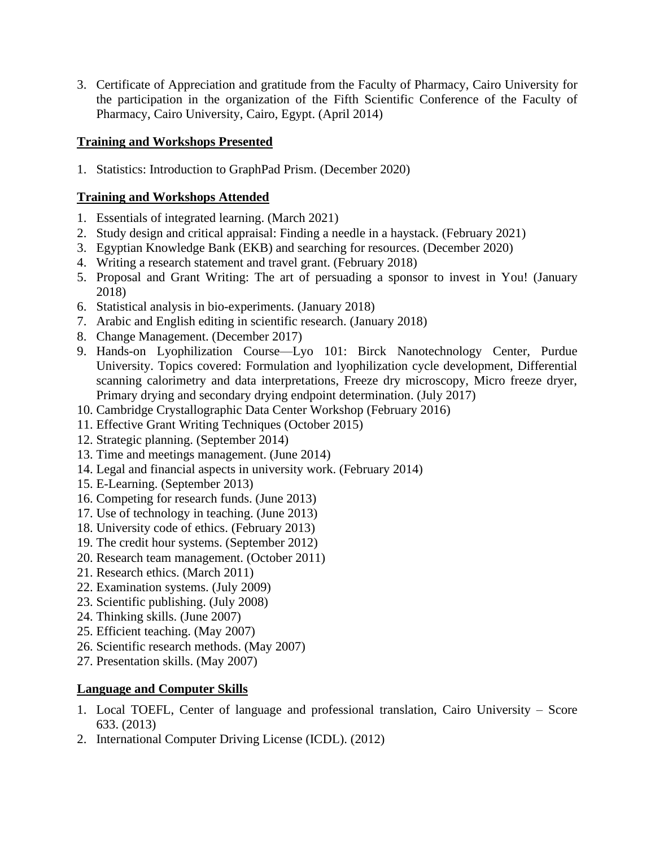3. Certificate of Appreciation and gratitude from the Faculty of Pharmacy, Cairo University for the participation in the organization of the Fifth Scientific Conference of the Faculty of Pharmacy, Cairo University, Cairo, Egypt. (April 2014)

## **Training and Workshops Presented**

1. Statistics: Introduction to GraphPad Prism. (December 2020)

# **Training and Workshops Attended**

- 1. Essentials of integrated learning. (March 2021)
- 2. Study design and critical appraisal: Finding a needle in a haystack. (February 2021)
- 3. Egyptian Knowledge Bank (EKB) and searching for resources. (December 2020)
- 4. Writing a research statement and travel grant. (February 2018)
- 5. Proposal and Grant Writing: The art of persuading a sponsor to invest in You! (January 2018)
- 6. Statistical analysis in bio-experiments. (January 2018)
- 7. Arabic and English editing in scientific research. (January 2018)
- 8. Change Management. (December 2017)
- 9. Hands-on Lyophilization Course—Lyo 101: Birck Nanotechnology Center, Purdue University. Topics covered: Formulation and lyophilization cycle development, Differential scanning calorimetry and data interpretations, Freeze dry microscopy, Micro freeze dryer, Primary drying and secondary drying endpoint determination. (July 2017)
- 10. Cambridge Crystallographic Data Center Workshop (February 2016)
- 11. Effective Grant Writing Techniques (October 2015)
- 12. Strategic planning. (September 2014)
- 13. Time and meetings management. (June 2014)
- 14. Legal and financial aspects in university work. (February 2014)
- 15. E-Learning. (September 2013)
- 16. Competing for research funds. (June 2013)
- 17. Use of technology in teaching. (June 2013)
- 18. University code of ethics. (February 2013)
- 19. The credit hour systems. (September 2012)
- 20. Research team management. (October 2011)
- 21. Research ethics. (March 2011)
- 22. Examination systems. (July 2009)
- 23. Scientific publishing. (July 2008)
- 24. Thinking skills. (June 2007)
- 25. Efficient teaching. (May 2007)
- 26. Scientific research methods. (May 2007)
- 27. Presentation skills. (May 2007)

# **Language and Computer Skills**

- 1. Local TOEFL, Center of language and professional translation, Cairo University Score 633. (2013)
- 2. International Computer Driving License (ICDL). (2012)